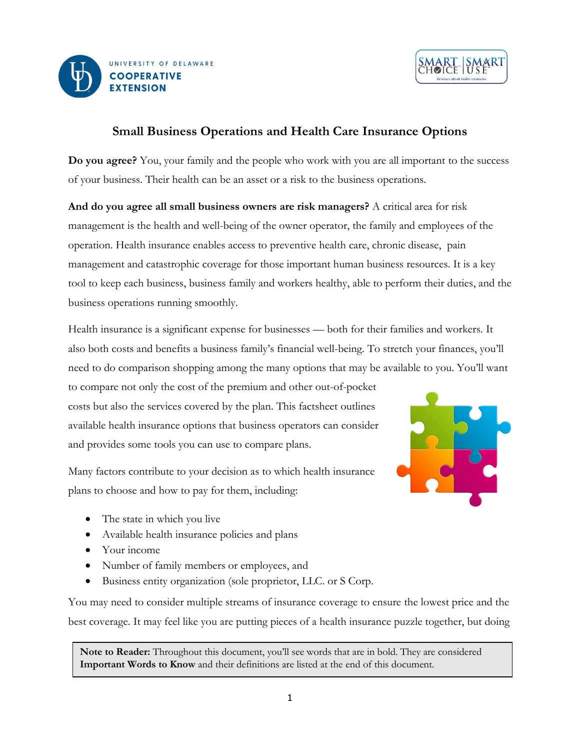



# **Small Business Operations and Health Care Insurance Options**

**Do you agree?** You, your family and the people who work with you are all important to the success of your business. Their health can be an asset or a risk to the business operations.

**And do you agree all small business owners are risk managers?** A critical area for risk management is the health and well-being of the owner operator, the family and employees of the operation. Health insurance enables access to preventive health care, chronic disease, pain management and catastrophic coverage for those important human business resources. It is a key tool to keep each business, business family and workers healthy, able to perform their duties, and the business operations running smoothly.

Health insurance is a significant expense for businesses — both for their families and workers. It also both costs and benefits a business family's financial well-being. To stretch your finances, you'll need to do comparison shopping among the many options that may be available to you. You'll want

to compare not only the cost of the premium and other out-of-pocket costs but also the services covered by the plan. This factsheet outlines available health insurance options that business operators can consider and provides some tools you can use to compare plans.



Many factors contribute to your decision as to which health insurance plans to choose and how to pay for them, including:

- The state in which you live
- Available health insurance policies and plans
- Your income
- Number of family members or employees, and
- Business entity organization (sole proprietor, LLC. or S Corp.

You may need to consider multiple streams of insurance coverage to ensure the lowest price and the best coverage. It may feel like you are putting pieces of a health insurance puzzle together, but doing

**Note to Reader:** Throughout this document, you'll see words that are in bold. They are considered **Important Words to Know** and their definitions are listed at the end of this document.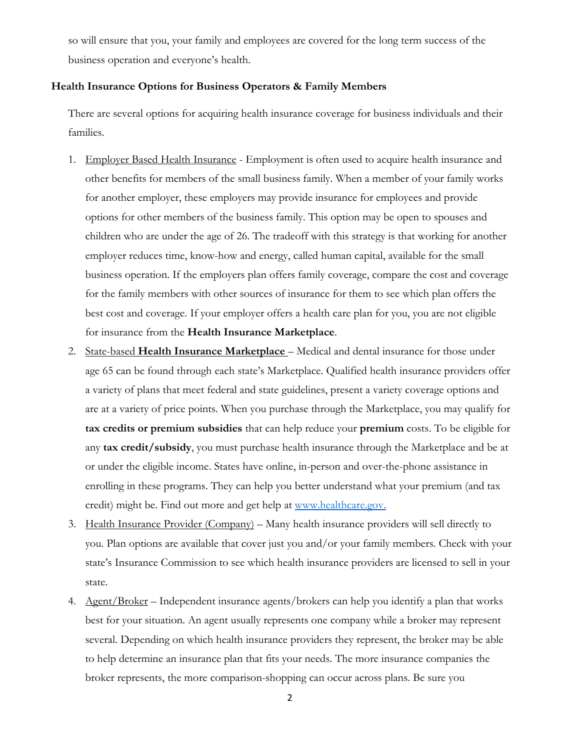so will ensure that you, your family and employees are covered for the long term success of the business operation and everyone's health.

### **Health Insurance Options for Business Operators & Family Members**

There are several options for acquiring health insurance coverage for business individuals and their families.

- 1. Employer Based Health Insurance Employment is often used to acquire health insurance and other benefits for members of the small business family. When a member of your family works for another employer, these employers may provide insurance for employees and provide options for other members of the business family. This option may be open to spouses and children who are under the age of 26. The tradeoff with this strategy is that working for another employer reduces time, know-how and energy, called human capital, available for the small business operation. If the employers plan offers family coverage, compare the cost and coverage for the family members with other sources of insurance for them to see which plan offers the best cost and coverage. If your employer offers a health care plan for you, you are not eligible for insurance from the **Health Insurance Marketplace**.
- 2. State-based **Health Insurance Marketplace** Medical and dental insurance for those under age 65 can be found through each state's Marketplace. Qualified health insurance providers offer a variety of plans that meet federal and state guidelines, present a variety coverage options and are at a variety of price points. When you purchase through the Marketplace, you may qualify for **tax credits or premium subsidies** that can help reduce your **premium** costs. To be eligible for any **tax credit/subsidy**, you must purchase health insurance through the Marketplace and be at or under the eligible income. States have online, in-person and over-the-phone assistance in enrolling in these programs. They can help you better understand what your premium (and tax credit) might be. Find out more and get help at [www.healthcare.gov.](http://www.healthcare.gov/)
- 3. Health Insurance Provider (Company) Many health insurance providers will sell directly to you. Plan options are available that cover just you and/or your family members. Check with your state's Insurance Commission to see which health insurance providers are licensed to sell in your state.
- 4. Agent/Broker Independent insurance agents/brokers can help you identify a plan that works best for your situation. An agent usually represents one company while a broker may represent several. Depending on which health insurance providers they represent, the broker may be able to help determine an insurance plan that fits your needs. The more insurance companies the broker represents, the more comparison-shopping can occur across plans. Be sure you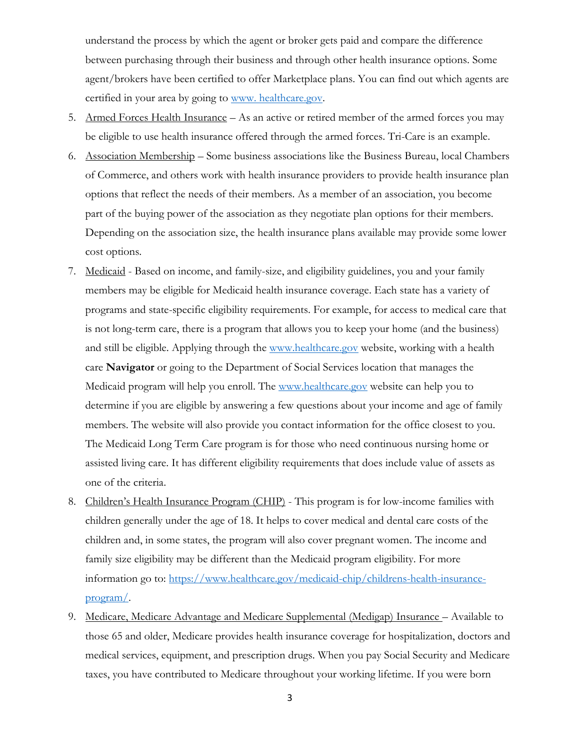understand the process by which the agent or broker gets paid and compare the difference between purchasing through their business and through other health insurance options. Some agent/brokers have been certified to offer Marketplace plans. You can find out which agents are certified in your area by going to [www. healthcare.gov.](http://www.healthcare.gov/)

- 5. Armed Forces Health Insurance As an active or retired member of the armed forces you may be eligible to use health insurance offered through the armed forces. Tri-Care is an example.
- 6. Association Membership Some business associations like the Business Bureau, local Chambers of Commerce, and others work with health insurance providers to provide health insurance plan options that reflect the needs of their members. As a member of an association, you become part of the buying power of the association as they negotiate plan options for their members. Depending on the association size, the health insurance plans available may provide some lower cost options.
- 7. Medicaid Based on income, and family-size, and eligibility guidelines, you and your family members may be eligible for Medicaid health insurance coverage. Each state has a variety of programs and state-specific eligibility requirements. For example, for access to medical care that is not long-term care, there is a program that allows you to keep your home (and the business) and still be eligible. Applying through the [www.healthcare.gov](http://www.healthcare.gov/) website, working with a health care **Navigator** or going to the Department of Social Services location that manages the Medicaid program will help you enroll. The [www.healthcare.gov](file:///C:/Users/Bonnie/Downloads/www.healthcare.gov) website can help you to determine if you are eligible by answering a few questions about your income and age of family members. The website will also provide you contact information for the office closest to you. The Medicaid Long Term Care program is for those who need continuous nursing home or assisted living care. It has different eligibility requirements that does include value of assets as one of the criteria.
- 8. Children's Health Insurance Program (CHIP) This program is for low-income families with children generally under the age of 18. It helps to cover medical and dental care costs of the children and, in some states, the program will also cover pregnant women. The income and family size eligibility may be different than the Medicaid program eligibility. For more information go to: [https://www.healthcare.gov/medicaid-chip/childrens-health-insurance](https://www.healthcare.gov/medicaid-chip/childrens-health-insurance-program/)[program/.](https://www.healthcare.gov/medicaid-chip/childrens-health-insurance-program/)
- 9. Medicare, Medicare Advantage and Medicare Supplemental (Medigap) Insurance Available to those 65 and older, Medicare provides health insurance coverage for hospitalization, doctors and medical services, equipment, and prescription drugs. When you pay Social Security and Medicare taxes, you have contributed to Medicare throughout your working lifetime. If you were born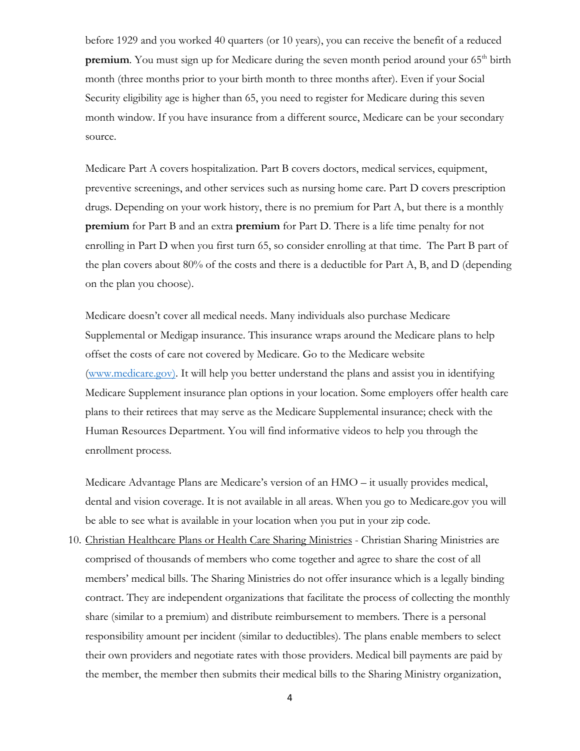before 1929 and you worked 40 quarters (or 10 years), you can receive the benefit of a reduced **premium**. You must sign up for Medicare during the seven month period around your 65<sup>th</sup> birth month (three months prior to your birth month to three months after). Even if your Social Security eligibility age is higher than 65, you need to register for Medicare during this seven month window. If you have insurance from a different source, Medicare can be your secondary source.

Medicare Part A covers hospitalization. Part B covers doctors, medical services, equipment, preventive screenings, and other services such as nursing home care. Part D covers prescription drugs. Depending on your work history, there is no premium for Part A, but there is a monthly **premium** for Part B and an extra **premium** for Part D. There is a life time penalty for not enrolling in Part D when you first turn 65, so consider enrolling at that time. The Part B part of the plan covers about 80% of the costs and there is a deductible for Part A, B, and D (depending on the plan you choose).

Medicare doesn't cover all medical needs. Many individuals also purchase Medicare Supplemental or Medigap insurance. This insurance wraps around the Medicare plans to help offset the costs of care not covered by Medicare. Go to the Medicare website [\(www.medicare.gov\)](http://www.medicare.gov/). It will help you better understand the plans and assist you in identifying Medicare Supplement insurance plan options in your location. Some employers offer health care plans to their retirees that may serve as the Medicare Supplemental insurance; check with the Human Resources Department. You will find informative videos to help you through the enrollment process.

Medicare Advantage Plans are Medicare's version of an HMO – it usually provides medical, dental and vision coverage. It is not available in all areas. When you go to Medicare.gov you will be able to see what is available in your location when you put in your zip code.

10. Christian Healthcare Plans or Health Care Sharing Ministries - Christian Sharing Ministries are comprised of thousands of members who come together and agree to share the cost of all members' medical bills. The Sharing Ministries do not offer insurance which is a legally binding contract. They are independent organizations that facilitate the process of collecting the monthly share (similar to a premium) and distribute reimbursement to members. There is a personal responsibility amount per incident (similar to deductibles). The plans enable members to select their own providers and negotiate rates with those providers. Medical bill payments are paid by the member, the member then submits their medical bills to the Sharing Ministry organization,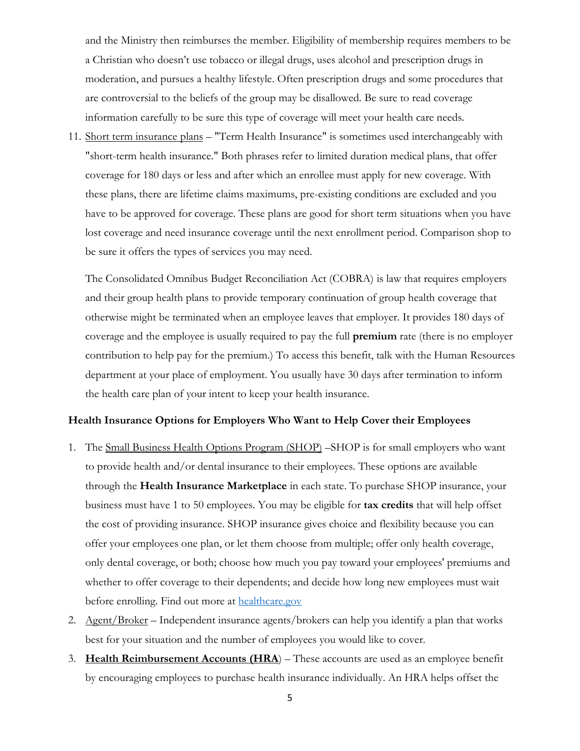and the Ministry then reimburses the member. Eligibility of membership requires members to be a Christian who doesn't use tobacco or illegal drugs, uses alcohol and prescription drugs in moderation, and pursues a healthy lifestyle. Often prescription drugs and some procedures that are controversial to the beliefs of the group may be disallowed. Be sure to read coverage information carefully to be sure this type of coverage will meet your health care needs.

11. Short term insurance plans – "Term Health Insurance" is sometimes used interchangeably with "short-term health insurance." Both phrases refer to limited duration medical plans, that offer coverage for 180 days or less and after which an enrollee must apply for new coverage. With these plans, there are lifetime claims maximums, pre-existing conditions are excluded and you have to be approved for coverage. These plans are good for short term situations when you have lost coverage and need insurance coverage until the next enrollment period. Comparison shop to be sure it offers the types of services you may need.

The Consolidated Omnibus Budget Reconciliation Act (COBRA) is law that requires employers and their group health plans to provide temporary continuation of group health coverage that otherwise might be terminated when an employee leaves that employer. It provides 180 days of coverage and the employee is usually required to pay the full **premium** rate (there is no employer contribution to help pay for the premium.) To access this benefit, talk with the Human Resources department at your place of employment. You usually have 30 days after termination to inform the health care plan of your intent to keep your health insurance.

# **Health Insurance Options for Employers Who Want to Help Cover their Employees**

- 1. The Small Business Health Options Program (SHOP) –SHOP is for small employers who want to provide health and/or dental insurance to their employees. These options are available through the **Health Insurance Marketplace** in each state. To purchase SHOP insurance, your business must have 1 to 50 employees. You may be eligible for **tax credits** that will help offset the cost of providing insurance. SHOP insurance gives choice and flexibility because you can offer your employees one plan, or let them choose from multiple; offer only health coverage, only dental coverage, or both; choose how much you pay toward your employees' premiums and whether to offer coverage to their dependents; and decide how long new employees must wait before enrolling. Find out more at [healthcare.gov](http://www.healthcare.gov/)
- 2. Agent/Broker Independent insurance agents/brokers can help you identify a plan that works best for your situation and the number of employees you would like to cover.
- 3. **Health Reimbursement Accounts (HRA**) These accounts are used as an employee benefit by encouraging employees to purchase health insurance individually. An HRA helps offset the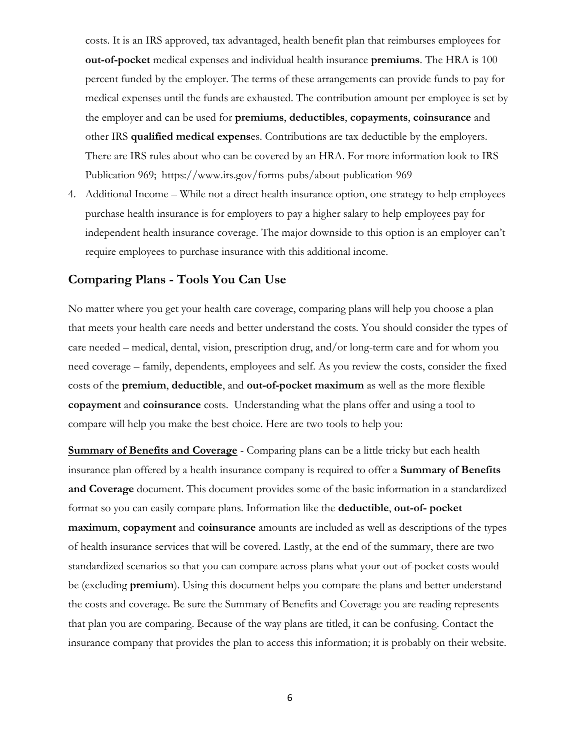costs. It is an IRS approved, tax advantaged, health benefit plan that reimburses employees for **out-of-pocket** medical expenses and individual health insurance **premiums**. The HRA is 100 percent funded by the employer. The terms of these arrangements can provide funds to pay for medical expenses until the funds are exhausted. The contribution amount per employee is set by the employer and can be used for **premiums**, **deductibles**, **copayments**, **coinsurance** and other IRS **qualified medical expens**es. Contributions are tax deductible by the employers. There are IRS rules about who can be covered by an HRA. For more information look to IRS Publication 969; https://www.irs.gov/forms-pubs/about-publication-969

4. Additional Income – While not a direct health insurance option, one strategy to help employees purchase health insurance is for employers to pay a higher salary to help employees pay for independent health insurance coverage. The major downside to this option is an employer can't require employees to purchase insurance with this additional income.

# **Comparing Plans - Tools You Can Use**

No matter where you get your health care coverage, comparing plans will help you choose a plan that meets your health care needs and better understand the costs. You should consider the types of care needed – medical, dental, vision, prescription drug, and/or long-term care and for whom you need coverage – family, dependents, employees and self. As you review the costs, consider the fixed costs of the **premium**, **deductible**, and **out-of-pocket maximum** as well as the more flexible **copayment** and **coinsurance** costs. Understanding what the plans offer and using a tool to compare will help you make the best choice. Here are two tools to help you:

**Summary of Benefits and Coverage** - Comparing plans can be a little tricky but each health insurance plan offered by a health insurance company is required to offer a **Summary of Benefits and Coverage** document. This document provides some of the basic information in a standardized format so you can easily compare plans. Information like the **deductible**, **out-of- pocket maximum**, **copayment** and **coinsurance** amounts are included as well as descriptions of the types of health insurance services that will be covered. Lastly, at the end of the summary, there are two standardized scenarios so that you can compare across plans what your out-of-pocket costs would be (excluding **premium**). Using this document helps you compare the plans and better understand the costs and coverage. Be sure the Summary of Benefits and Coverage you are reading represents that plan you are comparing. Because of the way plans are titled, it can be confusing. Contact the insurance company that provides the plan to access this information; it is probably on their website.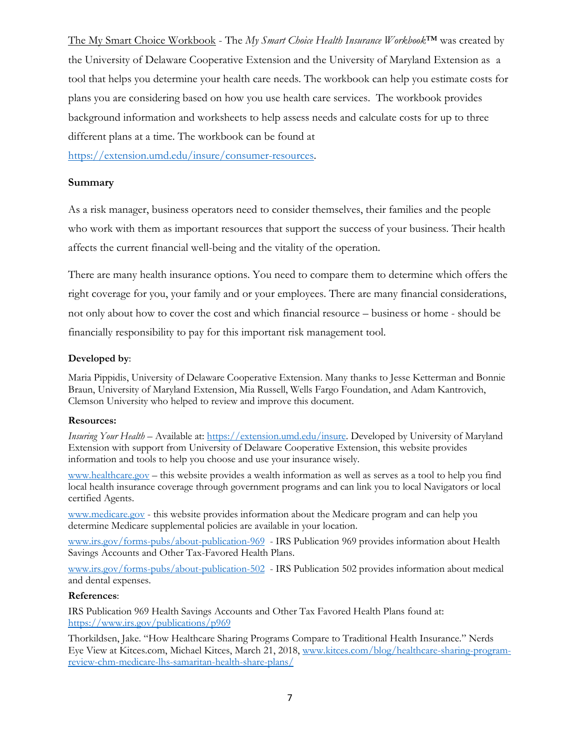The My Smart Choice Workbook - The *My Smart Choice Health Insurance Workbook*™ was created by the University of Delaware Cooperative Extension and the University of Maryland Extension as a tool that helps you determine your health care needs. The workbook can help you estimate costs for plans you are considering based on how you use health care services. The workbook provides background information and worksheets to help assess needs and calculate costs for up to three different plans at a time. The workbook can be found at

[https://extension.umd.edu/insure/consumer-resources.](https://extension.umd.edu/insure/consumer-resources)

## **Summary**

As a risk manager, business operators need to consider themselves, their families and the people who work with them as important resources that support the success of your business. Their health affects the current financial well-being and the vitality of the operation.

There are many health insurance options. You need to compare them to determine which offers the right coverage for you, your family and or your employees. There are many financial considerations, not only about how to cover the cost and which financial resource – business or home - should be financially responsibility to pay for this important risk management tool.

### **Developed by**:

Maria Pippidis, University of Delaware Cooperative Extension. Many thanks to Jesse Ketterman and Bonnie Braun, University of Maryland Extension, Mia Russell, Wells Fargo Foundation, and Adam Kantrovich, Clemson University who helped to review and improve this document.

### **Resources:**

*Insuring Your Health* – Available at: [https://extension.umd.edu/insure.](https://extension.umd.edu/insure) Developed by University of Maryland Extension with support from University of Delaware Cooperative Extension, this website provides information and tools to help you choose and use your insurance wisely.

[www.healthcare.gov](http://www.healthcare.gov/) – this website provides a wealth information as well as serves as a tool to help you find local health insurance coverage through government programs and can link you to local Navigators or local certified Agents.

[www.medicare.gov](http://www.medicare.gov/) - this website provides information about the Medicare program and can help you determine Medicare supplemental policies are available in your location.

[www.irs.gov/forms-pubs/about-publication-969](http://www.irs.gov/forms-pubs/about-publication-969) - IRS Publication 969 provides information about Health Savings Accounts and Other Tax-Favored Health Plans.

[www.irs.gov/forms-pubs/about-publication-502](http://www.irs.gov/forms-pubs/about-publication-502) - IRS Publication 502 provides information about medical and dental expenses.

### **References**:

IRS Publication 969 Health Savings Accounts and Other Tax Favored Health Plans found at: <https://www.irs.gov/publications/p969>

Thorkildsen, Jake. "How Healthcare Sharing Programs Compare to Traditional Health Insurance." Nerds Eye View at Kitces.com, Michael Kitces, March 21, 2018, [www.kitces.com/blog/healthcare-sharing-program](http://www.kitces.com/blog/healthcare-sharing-program-review-chm-medicare-lhs-samaritan-health-share-plans/)[review-chm-medicare-lhs-samaritan-health-share-plans/](http://www.kitces.com/blog/healthcare-sharing-program-review-chm-medicare-lhs-samaritan-health-share-plans/)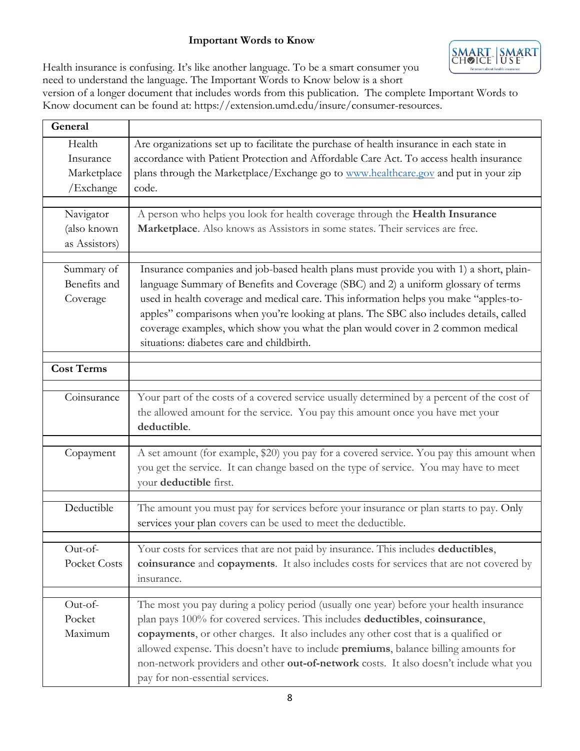# **Important Words to Know**



Health insurance is confusing. It's like another language. To be a smart consumer you need to understand the language. The Important Words to Know below is a short

version of a longer document that includes words from this publication. The complete Important Words to Know document can be found at: https://extension.umd.edu/insure/consumer-resources.

| General                                         |                                                                                                                                                                                                                                                                                                                                                                                                                                                                                                   |
|-------------------------------------------------|---------------------------------------------------------------------------------------------------------------------------------------------------------------------------------------------------------------------------------------------------------------------------------------------------------------------------------------------------------------------------------------------------------------------------------------------------------------------------------------------------|
| Health<br>Insurance<br>Marketplace<br>/Exchange | Are organizations set up to facilitate the purchase of health insurance in each state in<br>accordance with Patient Protection and Affordable Care Act. To access health insurance<br>plans through the Marketplace/Exchange go to www.healthcare.gov and put in your zip<br>code.                                                                                                                                                                                                                |
| Navigator<br>(also known<br>as Assistors)       | A person who helps you look for health coverage through the Health Insurance<br>Marketplace. Also knows as Assistors in some states. Their services are free.                                                                                                                                                                                                                                                                                                                                     |
| Summary of<br>Benefits and<br>Coverage          | Insurance companies and job-based health plans must provide you with 1) a short, plain-<br>language Summary of Benefits and Coverage (SBC) and 2) a uniform glossary of terms<br>used in health coverage and medical care. This information helps you make "apples-to-<br>apples" comparisons when you're looking at plans. The SBC also includes details, called<br>coverage examples, which show you what the plan would cover in 2 common medical<br>situations: diabetes care and childbirth. |
| <b>Cost Terms</b>                               |                                                                                                                                                                                                                                                                                                                                                                                                                                                                                                   |
| Coinsurance                                     | Your part of the costs of a covered service usually determined by a percent of the cost of<br>the allowed amount for the service. You pay this amount once you have met your<br>deductible.                                                                                                                                                                                                                                                                                                       |
| Copayment                                       | A set amount (for example, \$20) you pay for a covered service. You pay this amount when<br>you get the service. It can change based on the type of service. You may have to meet<br>your deductible first.                                                                                                                                                                                                                                                                                       |
| Deductible                                      | The amount you must pay for services before your insurance or plan starts to pay. Only<br>services your plan covers can be used to meet the deductible.                                                                                                                                                                                                                                                                                                                                           |
| Out-of-<br><b>Pocket Costs</b>                  | Your costs for services that are not paid by insurance. This includes deductibles,<br>coinsurance and copayments. It also includes costs for services that are not covered by<br>insurance.                                                                                                                                                                                                                                                                                                       |
| Out-of-<br>Pocket<br>Maximum                    | The most you pay during a policy period (usually one year) before your health insurance<br>plan pays 100% for covered services. This includes deductibles, coinsurance,<br>copayments, or other charges. It also includes any other cost that is a qualified or<br>allowed expense. This doesn't have to include premiums, balance billing amounts for<br>non-network providers and other out-of-network costs. It also doesn't include what you<br>pay for non-essential services.               |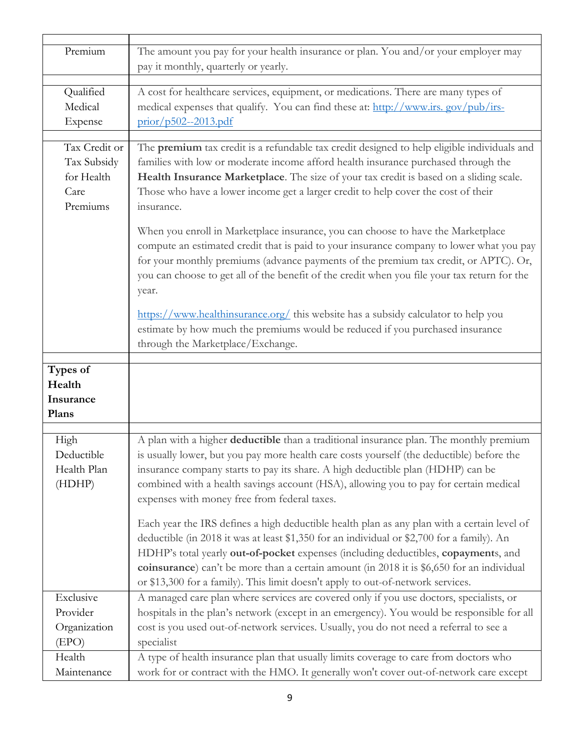| Premium                                                        | The amount you pay for your health insurance or plan. You and/or your employer may<br>pay it monthly, quarterly or yearly.                                                                                                                                                                                                                                                                                                                                                                                                                                                                                                                                                                                                                                                                                                                                                         |
|----------------------------------------------------------------|------------------------------------------------------------------------------------------------------------------------------------------------------------------------------------------------------------------------------------------------------------------------------------------------------------------------------------------------------------------------------------------------------------------------------------------------------------------------------------------------------------------------------------------------------------------------------------------------------------------------------------------------------------------------------------------------------------------------------------------------------------------------------------------------------------------------------------------------------------------------------------|
| Qualified<br>Medical<br>Expense                                | A cost for healthcare services, equipment, or medications. There are many types of<br>medical expenses that qualify. You can find these at: http://www.irs.gov/pub/irs-<br>prior/p502--2013.pdf                                                                                                                                                                                                                                                                                                                                                                                                                                                                                                                                                                                                                                                                                    |
| Tax Credit or<br>Tax Subsidy<br>for Health<br>Care<br>Premiums | The premium tax credit is a refundable tax credit designed to help eligible individuals and<br>families with low or moderate income afford health insurance purchased through the<br>Health Insurance Marketplace. The size of your tax credit is based on a sliding scale.<br>Those who have a lower income get a larger credit to help cover the cost of their<br>insurance.                                                                                                                                                                                                                                                                                                                                                                                                                                                                                                     |
|                                                                | When you enroll in Marketplace insurance, you can choose to have the Marketplace<br>compute an estimated credit that is paid to your insurance company to lower what you pay<br>for your monthly premiums (advance payments of the premium tax credit, or APTC). Or,<br>you can choose to get all of the benefit of the credit when you file your tax return for the<br>year.                                                                                                                                                                                                                                                                                                                                                                                                                                                                                                      |
|                                                                | https://www.healthinsurance.org/ this website has a subsidy calculator to help you<br>estimate by how much the premiums would be reduced if you purchased insurance<br>through the Marketplace/Exchange.                                                                                                                                                                                                                                                                                                                                                                                                                                                                                                                                                                                                                                                                           |
| Types of<br>Health<br>Insurance<br>Plans                       |                                                                                                                                                                                                                                                                                                                                                                                                                                                                                                                                                                                                                                                                                                                                                                                                                                                                                    |
| High<br>Deductible<br>Health Plan<br>(HDHP)                    | A plan with a higher deductible than a traditional insurance plan. The monthly premium<br>is usually lower, but you pay more health care costs yourself (the deductible) before the<br>insurance company starts to pay its share. A high deductible plan (HDHP) can be<br>combined with a health savings account (HSA), allowing you to pay for certain medical<br>expenses with money free from federal taxes.<br>Each year the IRS defines a high deductible health plan as any plan with a certain level of<br>deductible (in 2018 it was at least \$1,350 for an individual or \$2,700 for a family). An<br>HDHP's total yearly out-of-pocket expenses (including deductibles, copayments, and<br>coinsurance) can't be more than a certain amount (in 2018 it is \$6,650 for an individual<br>or \$13,300 for a family). This limit doesn't apply to out-of-network services. |
| Exclusive<br>Provider<br>Organization                          | A managed care plan where services are covered only if you use doctors, specialists, or<br>hospitals in the plan's network (except in an emergency). You would be responsible for all<br>cost is you used out-of-network services. Usually, you do not need a referral to see a                                                                                                                                                                                                                                                                                                                                                                                                                                                                                                                                                                                                    |
| (EPO)                                                          | specialist                                                                                                                                                                                                                                                                                                                                                                                                                                                                                                                                                                                                                                                                                                                                                                                                                                                                         |
| Health<br>Maintenance                                          | A type of health insurance plan that usually limits coverage to care from doctors who<br>work for or contract with the HMO. It generally won't cover out-of-network care except                                                                                                                                                                                                                                                                                                                                                                                                                                                                                                                                                                                                                                                                                                    |